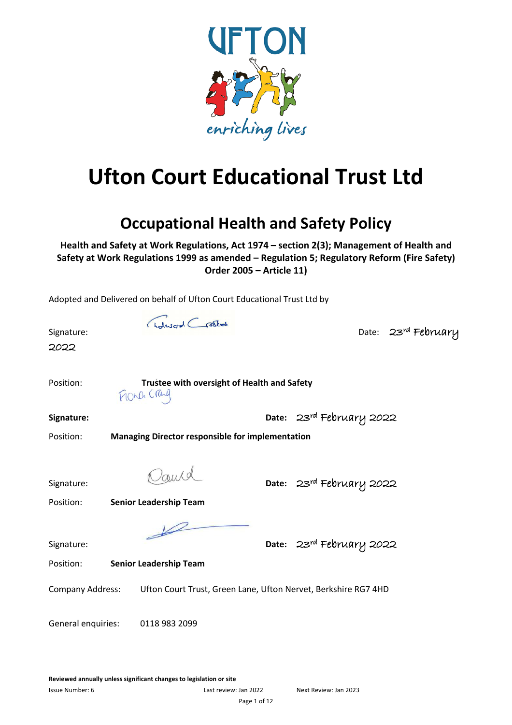

# **Ufton Court Educational Trust Ltd**

### **Occupational Health and Safety Policy**

**Health and Safety at Work Regulations, Act 1974 – section 2(3); Management of Health and Safety at Work Regulations 1999 as amended – Regulation 5; Regulatory Reform (Fire Safety) Order 2005 – Article 11)**

Adopted and Delivered on behalf of Ufton Court Educational Trust Ltd by

| Signature:<br>2022      | Solword Crashed<br>Date: 23rd February                                                |
|-------------------------|---------------------------------------------------------------------------------------|
| Position:               | Trustee with oversight of Health and Safety<br>FROND Cray                             |
| Signature:              | Date: 23rd February 2022                                                              |
| Position:               | <b>Managing Director responsible for implementation</b>                               |
| Signature:<br>Position: | Oand<br>Date: 23rd February 2022<br><b>Senior Leadership Team</b>                     |
| Signature:<br>Position: | $\overline{\mathscr{C}}$<br>Date: 23rd February 2022<br><b>Senior Leadership Team</b> |
| Company Address:        | Ufton Court Trust, Green Lane, Ufton Nervet, Berkshire RG7 4HD                        |
| General enquiries:      | 0118 983 2099                                                                         |

**Reviewed annually unless significant changes to legislation or site** 

Issue Number: 6 Last review: Jan 2022 Next Review: Jan 2023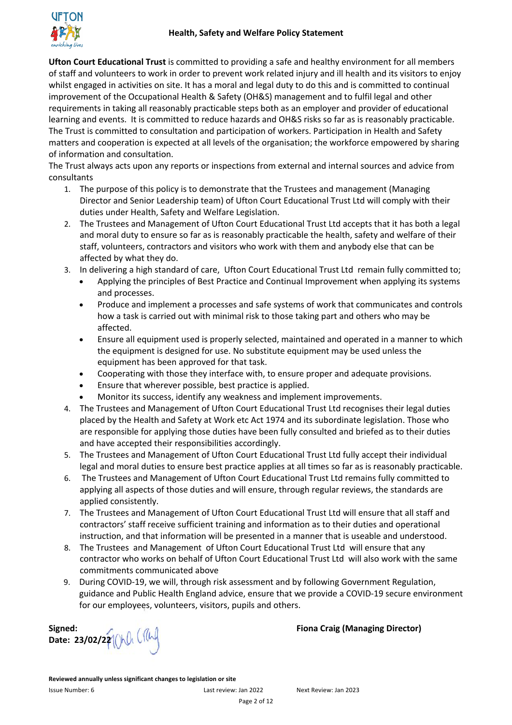

**Ufton Court Educational Trust** is committed to providing a safe and healthy environment for all members of staff and volunteers to work in order to prevent work related injury and ill health and its visitors to enjoy whilst engaged in activities on site. It has a moral and legal duty to do this and is committed to continual improvement of the Occupational Health & Safety (OH&S) management and to fulfil legal and other requirements in taking all reasonably practicable steps both as an employer and provider of educational learning and events. It is committed to reduce hazards and OH&S risks so far as is reasonably practicable. The Trust is committed to consultation and participation of workers. Participation in Health and Safety matters and cooperation is expected at all levels of the organisation; the workforce empowered by sharing of information and consultation.

The Trust always acts upon any reports or inspections from external and internal sources and advice from consultants

- 1. The purpose of this policy is to demonstrate that the Trustees and management (Managing Director and Senior Leadership team) of Ufton Court Educational Trust Ltd will comply with their duties under Health, Safety and Welfare Legislation.
- 2. The Trustees and Management of Ufton Court Educational Trust Ltd accepts that it has both a legal and moral duty to ensure so far as is reasonably practicable the health, safety and welfare of their staff, volunteers, contractors and visitors who work with them and anybody else that can be affected by what they do.
- 3. In delivering a high standard of care, Ufton Court Educational Trust Ltd remain fully committed to;
	- Applying the principles of Best Practice and Continual Improvement when applying its systems and processes.
	- Produce and implement a processes and safe systems of work that communicates and controls how a task is carried out with minimal risk to those taking part and others who may be affected.
	- Ensure all equipment used is properly selected, maintained and operated in a manner to which the equipment is designed for use. No substitute equipment may be used unless the equipment has been approved for that task.
	- Cooperating with those they interface with, to ensure proper and adequate provisions.
	- Ensure that wherever possible, best practice is applied.
	- Monitor its success, identify any weakness and implement improvements.
- 4. The Trustees and Management of Ufton Court Educational Trust Ltd recognises their legal duties placed by the Health and Safety at Work etc Act 1974 and its subordinate legislation. Those who are responsible for applying those duties have been fully consulted and briefed as to their duties and have accepted their responsibilities accordingly.
- 5. The Trustees and Management of Ufton Court Educational Trust Ltd fully accept their individual legal and moral duties to ensure best practice applies at all times so far as is reasonably practicable.
- 6. The Trustees and Management of Ufton Court Educational Trust Ltd remains fully committed to applying all aspects of those duties and will ensure, through regular reviews, the standards are applied consistently.
- 7. The Trustees and Management of Ufton Court Educational Trust Ltd will ensure that all staff and contractors' staff receive sufficient training and information as to their duties and operational instruction, and that information will be presented in a manner that is useable and understood.
- 8. The Trustees and Management of Ufton Court Educational Trust Ltd will ensure that any contractor who works on behalf of Ufton Court Educational Trust Ltd will also work with the same commitments communicated above
- 9. During COVID-19, we will, through risk assessment and by following Government Regulation, guidance and Public Health England advice, ensure that we provide a COVID-19 secure environment for our employees, volunteers, visitors, pupils and others.

**Date: 23/02/22**

**Signed:** A **Fiona Craig (Managing Director)** 

**Reviewed annually unless significant changes to legislation or site**  Issue Number: 6 Last review: Jan 2022 Next Review: Jan 2023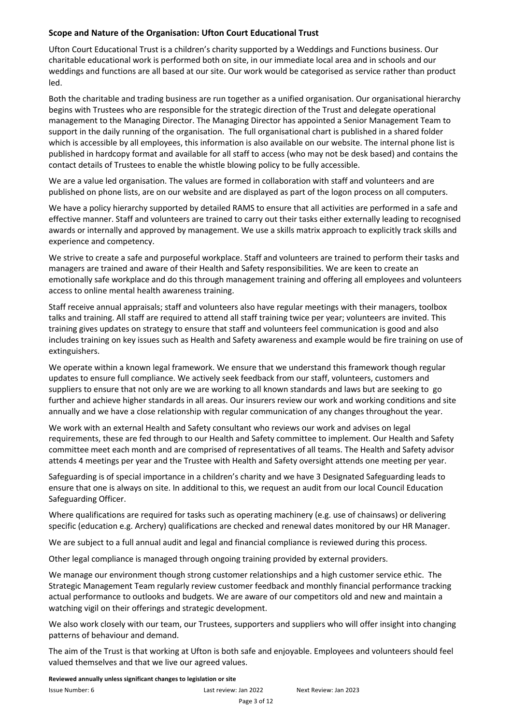#### **Scope and Nature of the Organisation: Ufton Court Educational Trust**

Ufton Court Educational Trust is a children's charity supported by a Weddings and Functions business. Our charitable educational work is performed both on site, in our immediate local area and in schools and our weddings and functions are all based at our site. Our work would be categorised as service rather than product led.

Both the charitable and trading business are run together as a unified organisation. Our organisational hierarchy begins with Trustees who are responsible for the strategic direction of the Trust and delegate operational management to the Managing Director. The Managing Director has appointed a Senior Management Team to support in the daily running of the organisation. The full organisational chart is published in a shared folder which is accessible by all employees, this information is also available on our website. The internal phone list is published in hardcopy format and available for all staff to access (who may not be desk based) and contains the contact details of Trustees to enable the whistle blowing policy to be fully accessible.

We are a value led organisation. The values are formed in collaboration with staff and volunteers and are published on phone lists, are on our website and are displayed as part of the logon process on all computers.

We have a policy hierarchy supported by detailed RAMS to ensure that all activities are performed in a safe and effective manner. Staff and volunteers are trained to carry out their tasks either externally leading to recognised awards or internally and approved by management. We use a skills matrix approach to explicitly track skills and experience and competency.

We strive to create a safe and purposeful workplace. Staff and volunteers are trained to perform their tasks and managers are trained and aware of their Health and Safety responsibilities. We are keen to create an emotionally safe workplace and do this through management training and offering all employees and volunteers access to online mental health awareness training.

Staff receive annual appraisals; staff and volunteers also have regular meetings with their managers, toolbox talks and training. All staff are required to attend all staff training twice per year; volunteers are invited. This training gives updates on strategy to ensure that staff and volunteers feel communication is good and also includes training on key issues such as Health and Safety awareness and example would be fire training on use of extinguishers.

We operate within a known legal framework. We ensure that we understand this framework though regular updates to ensure full compliance. We actively seek feedback from our staff, volunteers, customers and suppliers to ensure that not only are we are working to all known standards and laws but are seeking to go further and achieve higher standards in all areas. Our insurers review our work and working conditions and site annually and we have a close relationship with regular communication of any changes throughout the year.

We work with an external Health and Safety consultant who reviews our work and advises on legal requirements, these are fed through to our Health and Safety committee to implement. Our Health and Safety committee meet each month and are comprised of representatives of all teams. The Health and Safety advisor attends 4 meetings per year and the Trustee with Health and Safety oversight attends one meeting per year.

Safeguarding is of special importance in a children's charity and we have 3 Designated Safeguarding leads to ensure that one is always on site. In additional to this, we request an audit from our local Council Education Safeguarding Officer.

Where qualifications are required for tasks such as operating machinery (e.g. use of chainsaws) or delivering specific (education e.g. Archery) qualifications are checked and renewal dates monitored by our HR Manager.

We are subject to a full annual audit and legal and financial compliance is reviewed during this process.

Other legal compliance is managed through ongoing training provided by external providers.

We manage our environment though strong customer relationships and a high customer service ethic. The Strategic Management Team regularly review customer feedback and monthly financial performance tracking actual performance to outlooks and budgets. We are aware of our competitors old and new and maintain a watching vigil on their offerings and strategic development.

We also work closely with our team, our Trustees, supporters and suppliers who will offer insight into changing patterns of behaviour and demand.

The aim of the Trust is that working at Ufton is both safe and enjoyable. Employees and volunteers should feel valued themselves and that we live our agreed values.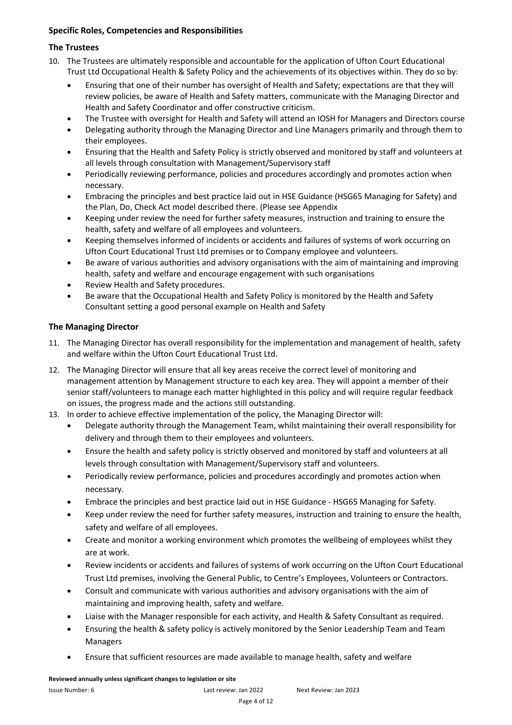#### **Specific Roles, Competencies and Responsibilities**

### **The Trustees**

- 10. The Trustees are ultimately responsible and accountable for the application of Ufton Court Educational Trust Ltd Occupational Health & Safety Policy and the achievements of its objectives within. They do so by:
	- Ensuring that one of their number has oversight of Health and Safety; expectations are that they will review policies, be aware of Health and Safety matters, communicate with the Managing Director and Health and Safety Coordinator and offer constructive criticism.
	- The Trustee with oversight for Health and Safety will attend an IOSH for Managers and Directors course
	- Delegating authority through the Managing Director and Line Managers primarily and through them to their employees.
	- Ensuring that the Health and Safety Policy is strictly observed and monitored by staff and volunteers at all levels through consultation with Management/Supervisory staff
	- Periodically reviewing performance, policies and procedures accordingly and promotes action when necessary.
	- Embracing the principles and best practice laid out in HSE Guidance (HSG65 Managing for Safety) and the Plan, Do, Check Act model described there. (Please see Appendix
	- Keeping under review the need for further safety measures, instruction and training to ensure the health, safety and welfare of all employees and volunteers.
	- Keeping themselves informed of incidents or accidents and failures of systems of work occurring on Ufton Court Educational Trust Ltd premises or to Company employee and volunteers.
	- Be aware of various authorities and advisory organisations with the aim of maintaining and improving health, safety and welfare and encourage engagement with such organisations
	- Review Health and Safety procedures.
	- Be aware that the Occupational Health and Safety Policy is monitored by the Health and Safety Consultant setting a good personal example on Health and Safety

### **The Managing Director**

- 11. The Managing Director has overall responsibility for the implementation and management of health, safety and welfare within the Ufton Court Educational Trust Ltd.
- 12. The Managing Director will ensure that all key areas receive the correct level of monitoring and management attention by Management structure to each key area. They will appoint a member of their senior staff/volunteers to manage each matter highlighted in this policy and will require regular feedback on issues, the progress made and the actions still outstanding.
- 13. In order to achieve effective implementation of the policy, the Managing Director will:
	- Delegate authority through the Management Team, whilst maintaining their overall responsibility for delivery and through them to their employees and volunteers.
	- Ensure the health and safety policy is strictly observed and monitored by staff and volunteers at all levels through consultation with Management/Supervisory staff and volunteers.
	- Periodically review performance, policies and procedures accordingly and promotes action when necessary.
	- Embrace the principles and best practice laid out in HSE Guidance HSG65 Managing for Safety.
	- Keep under review the need for further safety measures, instruction and training to ensure the health, safety and welfare of all employees.
	- Create and monitor a working environment which promotes the wellbeing of employees whilst they are at work.
	- Review incidents or accidents and failures of systems of work occurring on the Ufton Court Educational Trust Ltd premises, involving the General Public, to Centre's Employees, Volunteers or Contractors.
	- Consult and communicate with various authorities and advisory organisations with the aim of maintaining and improving health, safety and welfare.
	- Liaise with the Manager responsible for each activity, and Health & Safety Consultant as required.
	- Ensuring the health & safety policy is actively monitored by the Senior Leadership Team and Team Managers
	- Ensure that sufficient resources are made available to manage health, safety and welfare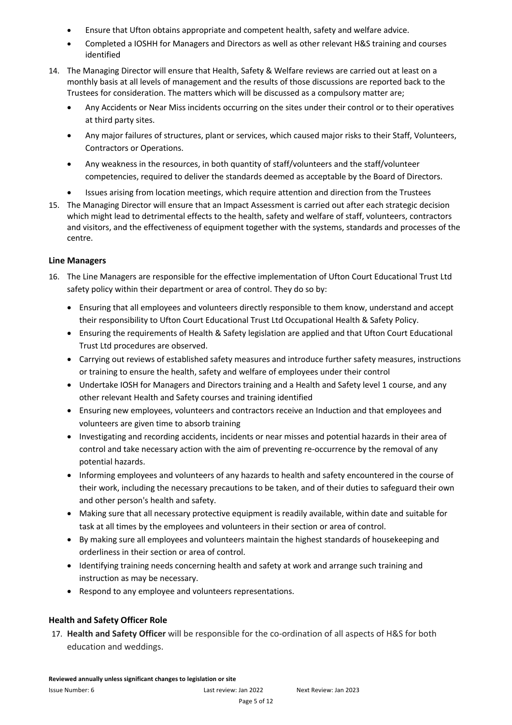- Ensure that Ufton obtains appropriate and competent health, safety and welfare advice.
- Completed a IOSHH for Managers and Directors as well as other relevant H&S training and courses identified
- 14. The Managing Director will ensure that Health, Safety & Welfare reviews are carried out at least on a monthly basis at all levels of management and the results of those discussions are reported back to the Trustees for consideration. The matters which will be discussed as a compulsory matter are;
	- Any Accidents or Near Miss incidents occurring on the sites under their control or to their operatives at third party sites.
	- Any major failures of structures, plant or services, which caused major risks to their Staff, Volunteers, Contractors or Operations.
	- Any weakness in the resources, in both quantity of staff/volunteers and the staff/volunteer competencies, required to deliver the standards deemed as acceptable by the Board of Directors.
	- Issues arising from location meetings, which require attention and direction from the Trustees
- 15. The Managing Director will ensure that an Impact Assessment is carried out after each strategic decision which might lead to detrimental effects to the health, safety and welfare of staff, volunteers, contractors and visitors, and the effectiveness of equipment together with the systems, standards and processes of the centre.

#### **Line Managers**

- 16. The Line Managers are responsible for the effective implementation of Ufton Court Educational Trust Ltd safety policy within their department or area of control. They do so by:
	- Ensuring that all employees and volunteers directly responsible to them know, understand and accept their responsibility to Ufton Court Educational Trust Ltd Occupational Health & Safety Policy.
	- Ensuring the requirements of Health & Safety legislation are applied and that Ufton Court Educational Trust Ltd procedures are observed.
	- Carrying out reviews of established safety measures and introduce further safety measures, instructions or training to ensure the health, safety and welfare of employees under their control
	- Undertake IOSH for Managers and Directors training and a Health and Safety level 1 course, and any other relevant Health and Safety courses and training identified
	- Ensuring new employees, volunteers and contractors receive an Induction and that employees and volunteers are given time to absorb training
	- Investigating and recording accidents, incidents or near misses and potential hazards in their area of control and take necessary action with the aim of preventing re-occurrence by the removal of any potential hazards.
	- Informing employees and volunteers of any hazards to health and safety encountered in the course of their work, including the necessary precautions to be taken, and of their duties to safeguard their own and other person's health and safety.
	- Making sure that all necessary protective equipment is readily available, within date and suitable for task at all times by the employees and volunteers in their section or area of control.
	- By making sure all employees and volunteers maintain the highest standards of housekeeping and orderliness in their section or area of control.
	- Identifying training needs concerning health and safety at work and arrange such training and instruction as may be necessary.
	- Respond to any employee and volunteers representations.

#### **Health and Safety Officer Role**

17. **Health and Safety Officer** will be responsible for the co-ordination of all aspects of H&S for both education and weddings.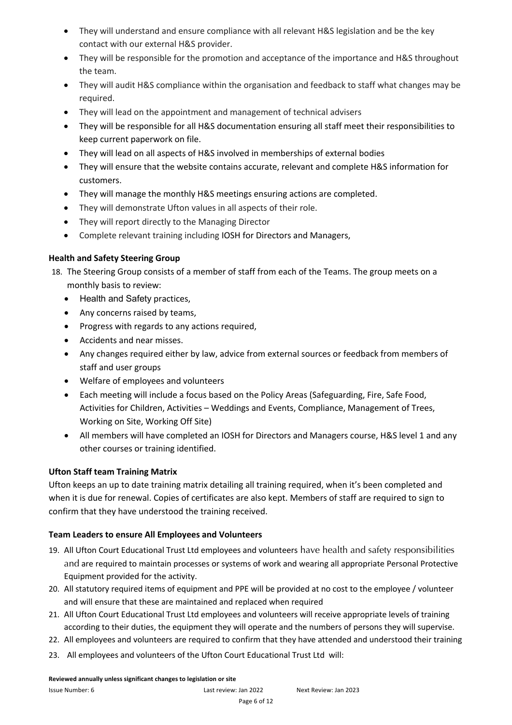- They will understand and ensure compliance with all relevant H&S legislation and be the key contact with our external H&S provider.
- They will be responsible for the promotion and acceptance of the importance and H&S throughout the team.
- They will audit H&S compliance within the organisation and feedback to staff what changes may be required.
- They will lead on the appointment and management of technical advisers
- They will be responsible for all H&S documentation ensuring all staff meet their responsibilities to keep current paperwork on file.
- They will lead on all aspects of H&S involved in memberships of external bodies
- They will ensure that the website contains accurate, relevant and complete H&S information for customers.
- They will manage the monthly H&S meetings ensuring actions are completed.
- They will demonstrate Ufton values in all aspects of their role.
- They will report directly to the Managing Director
- Complete relevant training including IOSH for Directors and Managers,

#### **Health and Safety Steering Group**

- 18. The Steering Group consists of a member of staff from each of the Teams. The group meets on a monthly basis to review:
	- Health and Safety practices,
	- Any concerns raised by teams,
	- Progress with regards to any actions required,
	- Accidents and near misses.
	- Any changes required either by law, advice from external sources or feedback from members of staff and user groups
	- Welfare of employees and volunteers
	- Each meeting will include a focus based on the Policy Areas (Safeguarding, Fire, Safe Food, Activities for Children, Activities – Weddings and Events, Compliance, Management of Trees, Working on Site, Working Off Site)
	- All members will have completed an IOSH for Directors and Managers course, H&S level 1 and any other courses or training identified.

#### **Ufton Staff team Training Matrix**

Ufton keeps an up to date training matrix detailing all training required, when it's been completed and when it is due for renewal. Copies of certificates are also kept. Members of staff are required to sign to confirm that they have understood the training received.

#### **Team Leaders to ensure All Employees and Volunteers**

- 19. All Ufton Court Educational Trust Ltd employees and volunteers have health and safety responsibilities and are required to maintain processes or systems of work and wearing all appropriate Personal Protective Equipment provided for the activity.
- 20. All statutory required items of equipment and PPE will be provided at no cost to the employee / volunteer and will ensure that these are maintained and replaced when required
- 21. All Ufton Court Educational Trust Ltd employees and volunteers will receive appropriate levels of training according to their duties, the equipment they will operate and the numbers of persons they will supervise.
- 22. All employees and volunteers are required to confirm that they have attended and understood their training
- 23. All employees and volunteers of the Ufton Court Educational Trust Ltd will: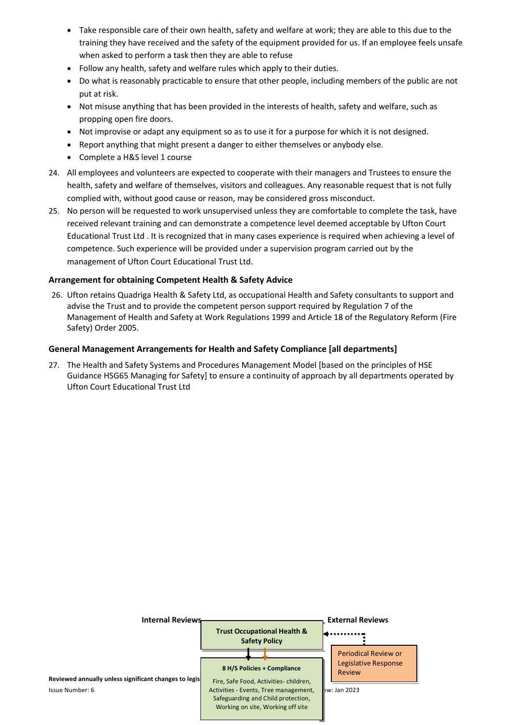- Take responsible care of their own health, safety and welfare at work; they are able to this due to the training they have received and the safety of the equipment provided for us. If an employee feels unsafe when asked to perform a task then they are able to refuse
- Follow any health, safety and welfare rules which apply to their duties.
- Do what is reasonably practicable to ensure that other people, including members of the public are not put at risk.
- Not misuse anything that has been provided in the interests of health, safety and welfare, such as propping open fire doors.
- Not improvise or adapt any equipment so as to use it for a purpose for which it is not designed.
- Report anything that might present a danger to either themselves or anybody else.
- Complete a H&S level 1 course
- 24. All employees and volunteers are expected to cooperate with their managers and Trustees to ensure the health, safety and welfare of themselves, visitors and colleagues. Any reasonable request that is not fully complied with, without good cause or reason, may be considered gross misconduct.
- 25. No person will be requested to work unsupervised unless they are comfortable to complete the task, have received relevant training and can demonstrate a competence level deemed acceptable by Ufton Court Educational Trust Ltd . It is recognized that in many cases experience is required when achieving a level of competence. Such experience will be provided under a supervision program carried out by the management of Ufton Court Educational Trust Ltd.

#### **Arrangement for obtaining Competent Health & Safety Advice**

26. Ufton retains Quadriga Health & Safety Ltd, as occupational Health and Safety consultants to support and advise the Trust and to provide the competent person support required by Regulation 7 of the Management of Health and Safety at Work Regulations 1999 and Article 18 of the Regulatory Reform (Fire Safety) Order 2005.

#### **General Management Arrangements for Health and Safety Compliance [all departments]**

27. The Health and Safety Systems and Procedures Management Model [based on the principles of HSE Guidance HSG65 Managing for Safety] to ensure a continuity of approach by all departments operated by Ufton Court Educational Trust Ltd

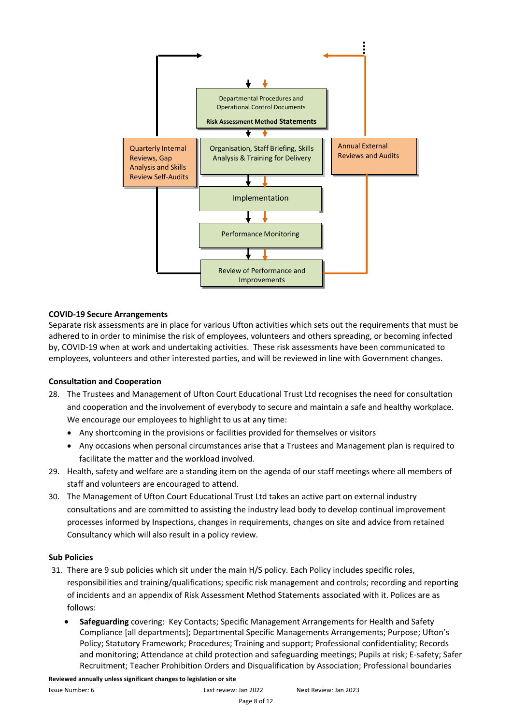

#### **COVID-19 Secure Arrangements**

Separate risk assessments are in place for various Ufton activities which sets out the requirements that must be adhered to in order to minimise the risk of employees, volunteers and others spreading, or becoming infected by, COVID-19 when at work and undertaking activities. These risk assessments have been communicated to employees, volunteers and other interested parties, and will be reviewed in line with Government changes.

#### **Consultation and Cooperation**

- 28. The Trustees and Management of Ufton Court Educational Trust Ltd recognises the need for consultation and cooperation and the involvement of everybody to secure and maintain a safe and healthy workplace. We encourage our employees to highlight to us at any time:
	- Any shortcoming in the provisions or facilities provided for themselves or visitors
	- Any occasions when personal circumstances arise that a Trustees and Management plan is required to facilitate the matter and the workload involved.
- 29. Health, safety and welfare are a standing item on the agenda of our staff meetings where all members of staff and volunteers are encouraged to attend.
- 30. The Management of Ufton Court Educational Trust Ltd takes an active part on external industry consultations and are committed to assisting the industry lead body to develop continual improvement processes informed by Inspections, changes in requirements, changes on site and advice from retained Consultancy which will also result in a policy review.

#### **Sub Policies**

- 31. There are 9 sub policies which sit under the main H/S policy. Each Policy includes specific roles, responsibilities and training/qualifications; specific risk management and controls; recording and reporting of incidents and an appendix of Risk Assessment Method Statements associated with it. Polices are as follows:
	- **Safeguarding** covering: Key Contacts; Specific Management Arrangements for Health and Safety Compliance [all departments]; Departmental Specific Managements Arrangements; Purpose; Ufton's Policy; Statutory Framework; Procedures; Training and support; Professional confidentiality; Records and monitoring; Attendance at child protection and safeguarding meetings; Pupils at risk; E-safety; Safer Recruitment; Teacher Prohibition Orders and Disqualification by Association; Professional boundaries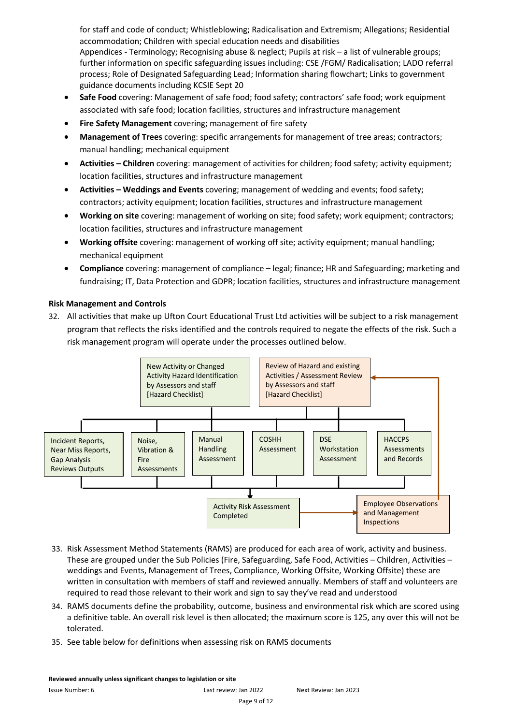for staff and code of conduct; Whistleblowing; Radicalisation and Extremism; Allegations; Residential accommodation; Children with special education needs and disabilities Appendices - Terminology; Recognising abuse & neglect; Pupils at risk – a list of vulnerable groups; further information on specific safeguarding issues including: CSE /FGM/ Radicalisation; LADO referral process; Role of Designated Safeguarding Lead; Information sharing flowchart; Links to government guidance documents including KCSIE Sept 20

- **Safe Food** covering: Management of safe food; food safety; contractors' safe food; work equipment associated with safe food; location facilities, structures and infrastructure management
- **Fire Safety Management** covering; management of fire safety
- **Management of Trees** covering: specific arrangements for management of tree areas; contractors; manual handling; mechanical equipment
- **Activities – Children** covering: management of activities for children; food safety; activity equipment; location facilities, structures and infrastructure management
- **Activities – Weddings and Events** covering; management of wedding and events; food safety; contractors; activity equipment; location facilities, structures and infrastructure management
- **Working on site** covering: management of working on site; food safety; work equipment; contractors; location facilities, structures and infrastructure management
- **Working offsite** covering: management of working off site; activity equipment; manual handling; mechanical equipment
- **Compliance** covering: management of compliance legal; finance; HR and Safeguarding; marketing and fundraising; IT, Data Protection and GDPR; location facilities, structures and infrastructure management

#### **Risk Management and Controls**

32. All activities that make up Ufton Court Educational Trust Ltd activities will be subject to a risk management program that reflects the risks identified and the controls required to negate the effects of the risk. Such a risk management program will operate under the processes outlined below.



- 33. Risk Assessment Method Statements (RAMS) are produced for each area of work, activity and business. These are grouped under the Sub Policies (Fire, Safeguarding, Safe Food, Activities – Children, Activities – weddings and Events, Management of Trees, Compliance, Working Offsite, Working Offsite) these are written in consultation with members of staff and reviewed annually. Members of staff and volunteers are required to read those relevant to their work and sign to say they've read and understood
- 34. RAMS documents define the probability, outcome, business and environmental risk which are scored using a definitive table. An overall risk level is then allocated; the maximum score is 125, any over this will not be tolerated.
- 35. See table below for definitions when assessing risk on RAMS documents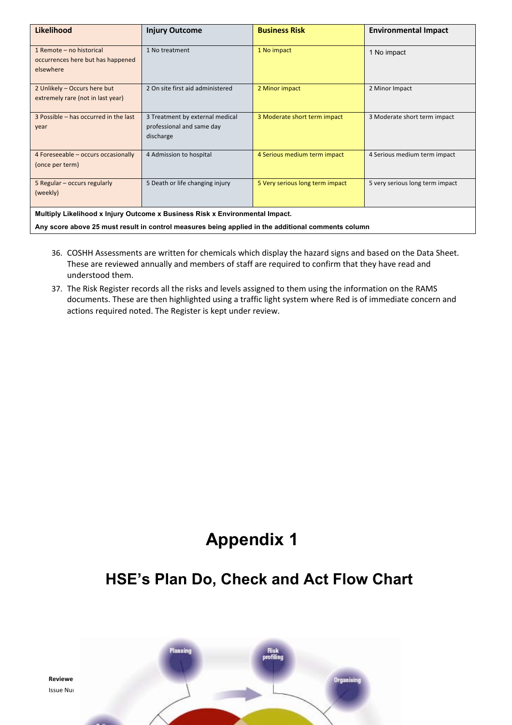| <b>Likelihood</b>                                                                                  | <b>Injury Outcome</b>                                                     | <b>Business Risk</b>            | <b>Environmental Impact</b>     |  |
|----------------------------------------------------------------------------------------------------|---------------------------------------------------------------------------|---------------------------------|---------------------------------|--|
| 1 Remote - no historical<br>occurrences here but has happened<br>elsewhere                         | 1 No treatment                                                            | 1 No impact                     | 1 No impact                     |  |
| 2 Unlikely - Occurs here but<br>extremely rare (not in last year)                                  | 2 On site first aid administered                                          | 2 Minor impact                  | 2 Minor Impact                  |  |
| 3 Possible - has occurred in the last<br>year                                                      | 3 Treatment by external medical<br>professional and same day<br>discharge | 3 Moderate short term impact    | 3 Moderate short term impact    |  |
| 4 Foreseeable - occurs occasionally<br>(once per term)                                             | 4 Admission to hospital                                                   | 4 Serious medium term impact    | 4 Serious medium term impact    |  |
| 5 Regular - occurs regularly<br>(weekly)                                                           | 5 Death or life changing injury                                           | 5 Very serious long term impact | 5 very serious long term impact |  |
| Multiply Likelihood x Injury Outcome x Business Risk x Environmental Impact.                       |                                                                           |                                 |                                 |  |
| Any score above 25 must result in control measures being applied in the additional comments column |                                                                           |                                 |                                 |  |

- 36. COSHH Assessments are written for chemicals which display the hazard signs and based on the Data Sheet. These are reviewed annually and members of staff are required to confirm that they have read and understood them.
- 37. The Risk Register records all the risks and levels assigned to them using the information on the RAMS documents. These are then highlighted using a traffic light system where Red is of immediate concern and actions required noted. The Register is kept under review.

## **Appendix 1**

### **HSE's Plan Do, Check and Act Flow Chart**

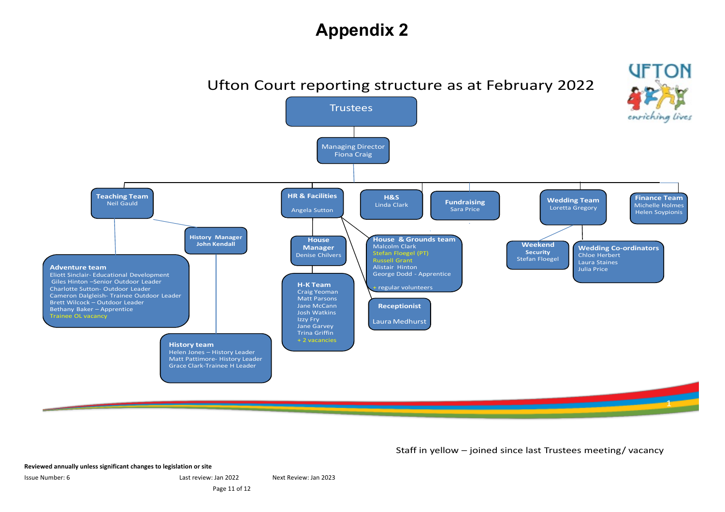### **Appendix 2**



Staff in yellow – joined since last Trustees meeting/ vacancy

**Reviewed annually unless significant changes to legislation or site** 

Issue Number: 6 Last review: Jan 2022 Next Review: Jan 2023

Page 11 of 12